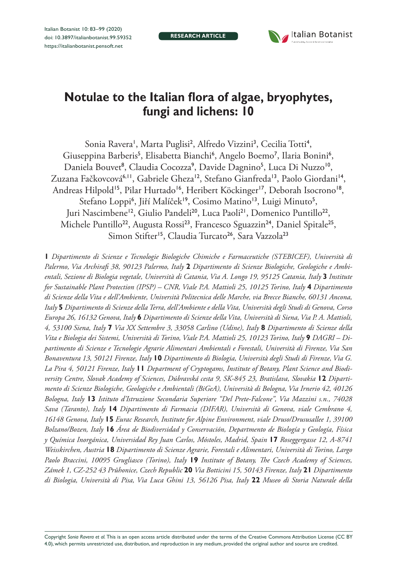**research article**



# **Notulae to the Italian flora of algae, bryophytes, fungi and lichens: 10**

Sonia Ravera<sup>1</sup>, Marta Puglisi<sup>2</sup>, Alfredo Vizzini<sup>3</sup>, Cecilia Totti<sup>4</sup>, Giuseppina Barberis<sup>5</sup>, Elisabetta Bianchi<sup>6</sup>, Angelo Boemo<sup>7</sup>, Ilaria Bonini<sup>6</sup>, Daniela Bouvet<sup>8</sup>, Claudia Cocozza<sup>9</sup>, Davide Dagnino<sup>5</sup>, Luca Di Nuzzo<sup>10</sup>, Zuzana Fačkovcová<sup>6,11</sup>, Gabriele Gheza<sup>12</sup>, Stefano Gianfreda<sup>13</sup>, Paolo Giordani<sup>14</sup>, Andreas Hilpold<sup>15</sup>, Pilar Hurtado<sup>16</sup>, Heribert Köckinger<sup>17</sup>, Deborah Isocrono<sup>18</sup>, Stefano Loppi<sup>6</sup>, Jiří Malíček<sup>19</sup>, Cosimo Matino<sup>13</sup>, Luigi Minuto<sup>5</sup>, Juri Nascimbene<sup>12</sup>, Giulio Pandeli<sup>20</sup>, Luca Paoli<sup>21</sup>, Domenico Puntillo<sup>22</sup>, Michele Puntillo<sup>22</sup>, Augusta Rossi<sup>23</sup>, Francesco Sguazzin<sup>24</sup>, Daniel Spitale<sup>25</sup>, Simon Stifter<sup>15</sup>, Claudia Turcato<sup>26</sup>, Sara Vazzola<sup>23</sup>

**1** *Dipartimento di Scienze e Tecnologie Biologiche Chimiche e Farmaceutiche (STEBICEF), Università di Palermo, Via Archirafi 38, 90123 Palermo, Italy* **2** *Dipartimento di Scienze Biologiche, Geologiche e Ambientali, Sezione di Biologia vegetale, Università di Catania, Via A. Longo 19, 95125 Catania, Italy* **3** *Institute for Sustainable Plant Protection (IPSP) – CNR, Viale P.A. Mattioli 25, 10125 Torino, Italy* **4** *Dipartimento di Scienze della Vita e dell'Ambiente, Università Politecnica delle Marche, via Brecce Bianche, 60131 Ancona, Italy* **5** *Dipartimento di Scienze della Terra, dell'Ambiente e della Vita, Università degli Studi di Genova, Corso Europa 26, 16132 Genova, Italy* **6** *Dipartimento di Scienze della Vita, Università di Siena, Via P. A. Mattioli, 4, 53100 Siena, Italy* **7** *Via XX Settembre 3, 33058 Carlino (Udine), Italy* **8** *Dipartimento di Scienze della Vita e Biologia dei Sistemi, Università di Torino, Viale P.A. Mattioli 25, 10123 Torino, Italy* **9** *DAGRI – Dipartimento di Scienze e Tecnologie Agrarie Alimentari Ambientali e Forestali, Università di Firenze, Via San Bonaventura 13, 50121 Firenze, Italy* **10** *Dipartimento di Biologia, Università degli Studi di Firenze, Via G. La Pira 4, 50121 Firenze, Italy* **11** *Department of Cryptogams, Institute of Botany, Plant Science and Biodiversity Centre, Slovak Academy of Sciences, Dúbravská cesta 9, SK-845 23, Bratislava, Slovakia* **12** *Dipartimento di Scienze Biologiche, Geologiche e Ambientali (BiGeA), Università di Bologna, Via Irnerio 42, 40126 Bologna, Italy* **13** *Istituto d'Istruzione Secondaria Superiore "Del Prete-Falcone", Via Mazzini s.n., 74028 Sava (Taranto), Italy* **14** *Dipartimento di Farmacia (DIFAR), Università di Genova, viale Cembrano 4, 16148 Genova, Italy* **15** *Eurac Research, Institute for Alpine Environment, viale Druso/Drususallee 1, 39100 Bolzano/Bozen, Italy* **16** *Área de Biodiversidad y Conservación, Departmento de Biología y Geología, Física y Química Inorgánica, Universidad Rey Juan Carlos, Móstoles, Madrid, Spain* **17** *Roseggergasse 12, A-8741 Weisskirchen, Austria* **18** *Dipartimento di Scienze Agrarie, Forestali e Alimentari, Università di Torino, Largo Paolo Braccini, 10095 Grugliasco (Torino), Italy* **19** *Institute of Botany, The Czech Academy of Sciences, Zámek 1, CZ-252 43 Průhonice, Czech Republic* **20** *Via Botticini 15, 50143 Firenze, Italy* **21** *Dipartimento di Biologia, Università di Pisa, Via Luca Ghini 13, 56126 Pisa, Italy* **22** *Museo di Storia Naturale della* 

Copyright *Sonia Ravera et al.* This is an open access article distributed under the terms of the [Creative Commons Attribution License \(CC BY](http://creativecommons.org/licenses/by/4.0/)  [4.0\)](http://creativecommons.org/licenses/by/4.0/), which permits unrestricted use, distribution, and reproduction in any medium, provided the original author and source are credited.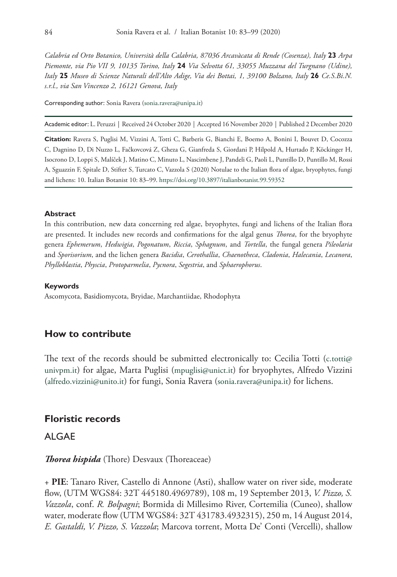*Calabria ed Orto Botanico, Università della Calabria, 87036 Arcavàcata di Rende (Cosenza), Italy* **23** *Arpa Piemonte, via Pio VII 9, 10135 Torino, Italy* **24** *Via Selvotta 61, 33055 Muzzana del Turgnano (Udine), Italy* **25** *Museo di Scienze Naturali dell'Alto Adige, Via dei Bottai, 1, 39100 Bolzano, Italy* **26** *Ce.S.Bi.N. s.r.l., via San Vincenzo 2, 16121 Genova, Italy*

Corresponding author: Sonia Ravera [\(sonia.ravera@unipa.it\)](mailto:sonia.ravera@unipa.it)

Academic editor: L. Peruzzi | Received 24 October 2020 | Accepted 16 November 2020 | Published 2 December 2020

**Citation:** Ravera S, Puglisi M, Vizzini A, Totti C, Barberis G, Bianchi E, Boemo A, Bonini I, Bouvet D, Cocozza C, Dagnino D, Di Nuzzo L, Fačkovcová Z, Gheza G, Gianfreda S, Giordani P, Hilpold A, Hurtado P, Köckinger H, Isocrono D, Loppi S, Malíček J, Matino C, Minuto L, Nascimbene J, Pandeli G, Paoli L, Puntillo D, Puntillo M, Rossi A, Sguazzin F, Spitale D, Stifter S, Turcato C, Vazzola S (2020) Notulae to the Italian flora of algae, bryophytes, fungi and lichens: 10. Italian Botanist 10: 83–99. <https://doi.org/10.3897/italianbotanist.99.59352>

#### **Abstract**

In this contribution, new data concerning red algae, bryophytes, fungi and lichens of the Italian flora are presented. It includes new records and confirmations for the algal genus *Thorea*, for the bryophyte genera *Ephemerum*, *Hedwigia*, *Pogonatum*, *Riccia*, *Sphagnum*, and *Tortella*, the fungal genera *Pileolaria* and *Sporisorium*, and the lichen genera *Bacidia*, *Cerothallia*, *Chaenotheca*, *Cladonia*, *Halecania*, *Lecanora*, *Phylloblastia*, *Physcia*, *Protoparmelia*, *Pycnora*, *Segestria*, and *Sphaerophorus*.

#### **Keywords**

Ascomycota, Basidiomycota, Bryidae, Marchantiidae, Rhodophyta

# **How to contribute**

The text of the records should be submitted electronically to: Cecilia Totti [\(c.totti@](mailto:c.totti@univpm.it) [univpm.it\)](mailto:c.totti@univpm.it) for algae, Marta Puglisi [\(mpuglisi@unict.it\)](mailto:mpuglisi@unict.it) for bryophytes, Alfredo Vizzini ([alfredo.vizzini@unito.it](mailto:alfredo.vizzini@unito.it)) for fungi, Sonia Ravera ([sonia.ravera@unipa.it\)](mailto:sonia.ravera@unipa.it) for lichens.

# **Floristic records**

# ALGAE

*Thorea hispida* (Thore) Desvaux (Thoreaceae)

+ **PIE**: Tanaro River, Castello di Annone (Asti), shallow water on river side, moderate flow, (UTM WGS84: 32T 445180.4969789), 108 m, 19 September 2013, *V. Pizzo, S. Vazzola*, conf. *R. Bolpagni*; Bormida di Millesimo River, Cortemilia (Cuneo), shallow water, moderate flow (UTM WGS84: 32T 431783.4932315), 250 m, 14 August 2014, *E. Gastaldi, V. Pizzo, S. Vazzola*; Marcova torrent, Motta De' Conti (Vercelli), shallow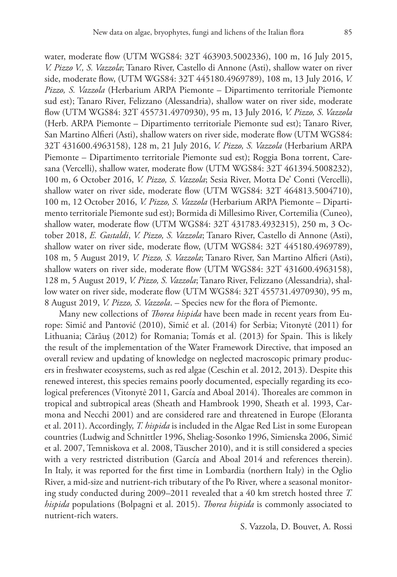water, moderate flow (UTM WGS84: 32T 463903.5002336), 100 m, 16 July 2015, *V. Pizzo V., S. Vazzola*; Tanaro River, Castello di Annone (Asti), shallow water on river side, moderate flow, (UTM WGS84: 32T 445180.4969789), 108 m, 13 July 2016, *V. Pizzo, S. Vazzola* (Herbarium ARPA Piemonte – Dipartimento territoriale Piemonte sud est); Tanaro River, Felizzano (Alessandria), shallow water on river side, moderate flow (UTM WGS84: 32T 455731.4970930), 95 m, 13 July 2016, *V. Pizzo, S. Vazzola* (Herb. ARPA Piemonte – Dipartimento territoriale Piemonte sud est); Tanaro River, San Martino Alfieri (Asti), shallow waters on river side, moderate flow (UTM WGS84: 32T 431600.4963158), 128 m, 21 July 2016, *V. Pizzo, S. Vazzola* (Herbarium ARPA Piemonte – Dipartimento territoriale Piemonte sud est); Roggia Bona torrent, Caresana (Vercelli), shallow water, moderate flow (UTM WGS84: 32T 461394.5008232), 100 m, 6 October 2016, *V. Pizzo, S. Vazzola*; Sesia River, Motta De' Conti (Vercelli), shallow water on river side, moderate flow (UTM WGS84: 32T 464813.5004710), 100 m, 12 October 2016, *V. Pizzo, S. Vazzola* (Herbarium ARPA Piemonte – Dipartimento territoriale Piemonte sud est); Bormida di Millesimo River, Cortemilia (Cuneo), shallow water, moderate flow (UTM WGS84: 32T 431783.4932315), 250 m, 3 October 2018, *E. Gastaldi*, *V. Pizzo, S. Vazzola*; Tanaro River, Castello di Annone (Asti), shallow water on river side, moderate flow, (UTM WGS84: 32T 445180.4969789), 108 m, 5 August 2019, *V. Pizzo, S. Vazzola*; Tanaro River, San Martino Alfieri (Asti), shallow waters on river side, moderate flow (UTM WGS84: 32T 431600.4963158), 128 m, 5 August 2019, *V. Pizzo, S. Vazzola*; Tanaro River, Felizzano (Alessandria), shallow water on river side, moderate flow (UTM WGS84: 32T 455731.4970930), 95 m, 8 August 2019, *V. Pizzo, S. Vazzola*. – Species new for the flora of Piemonte.

Many new collections of *Thorea hispida* have been made in recent years from Europe: Simić and Pantović (2010), Simić et al. (2014) for Serbia; Vitonytė (2011) for Lithuania; Cărăuş (2012) for Romania; Tomás et al. (2013) for Spain. This is likely the result of the implementation of the Water Framework Directive, that imposed an overall review and updating of knowledge on neglected macroscopic primary producers in freshwater ecosystems, such as red algae (Ceschin et al. 2012, 2013). Despite this renewed interest, this species remains poorly documented, especially regarding its ecological preferences (Vitonytė 2011, García and Aboal 2014). Thoreales are common in tropical and subtropical areas (Sheath and Hambrook 1990, Sheath et al. 1993, Carmona and Necchi 2001) and are considered rare and threatened in Europe (Eloranta et al. 2011). Accordingly, *T. hispida* is included in the Algae Red List in some European countries (Ludwig and Schnittler 1996, Sheliag-Sosonko 1996, Simienska 2006, Simić et al. 2007, Temniskova et al. 2008, Täuscher 2010), and it is still considered a species with a very restricted distribution (García and Aboal 2014 and references therein). In Italy, it was reported for the first time in Lombardia (northern Italy) in the Oglio River, a mid-size and nutrient-rich tributary of the Po River, where a seasonal monitoring study conducted during 2009–2011 revealed that a 40 km stretch hosted three *T. hispida* populations (Bolpagni et al. 2015). *Thorea hispida* is commonly associated to nutrient-rich waters.

S. Vazzola, D. Bouvet, A. Rossi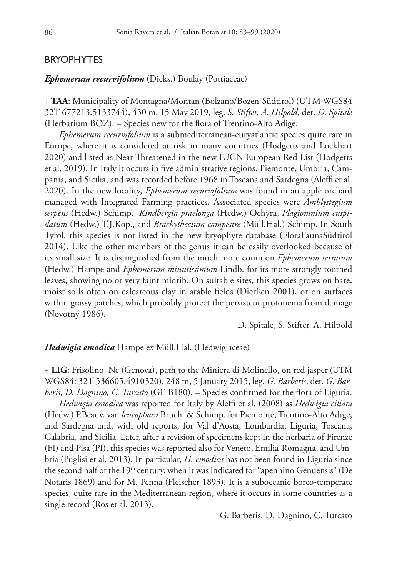# BRYOPHYTES

# *Ephemerum recurvifolium* (Dicks.) Boulay (Pottiaceae)

+ **TAA**: Municipality of Montagna/Montan (Bolzano/Bozen-Südtirol) (UTM WGS84 32T 677213.5133744), 430 m, 15 May 2019, leg. *S. Stifter, A. Hilpold*, det. *D. Spitale* (Herbarium BOZ). – Species new for the flora of Trentino-Alto Adige.

*Ephemerum recurvifolium* is a submediterranean-euryatlantic species quite rare in Europe, where it is considered at risk in many countries (Hodgetts and Lockhart 2020) and listed as Near Threatened in the new IUCN European Red List (Hodgetts et al. 2019). In Italy it occurs in five administrative regions, Piemonte, Umbria, Campania, and Sicilia, and was recorded before 1968 in Toscana and Sardegna (Aleffi et al. 2020). In the new locality, *Ephemerum recurvifolium* was found in an apple orchard managed with Integrated Farming practices. Associated species were *Amblystegium serpens* (Hedw.) Schimp., *Kindbergia praelonga* (Hedw.) Ochyra, *Plagiomnium cuspidatum* (Hedw.) T.J.Kop., and *Brachythecium campestre* (Müll.Hal.) Schimp. In South Tyrol, this species is not listed in the new bryophyte database (FloraFaunaSüdtirol 2014). Like the other members of the genus it can be easily overlooked because of its small size. It is distinguished from the much more common *Ephemerum serratum* (Hedw.) Hampe and *Ephemerum minutissimum* Lindb. for its more strongly toothed leaves, showing no or very faint midrib. On suitable sites, this species grows on bare, moist soils often on calcareous clay in arable fields (Dierßen 2001), or on surfaces within grassy patches, which probably protect the persistent protonema from damage (Novotný 1986).

D. Spitale, S. Stifter, A. Hilpold

## *Hedwigia emodica* Hampe ex Müll.Hal. (Hedwigiaceae)

+ **LIG**: Frisolino, Ne (Genova), path to the Miniera di Molinello, on red jasper (UTM WGS84: 32T 536605.4910320), 248 m, 5 January 2015, leg. *G. Barberis*, det. *G. Barberis*, *D. Dagnino, C. Turcato* (GE B180). – Species confirmed for the flora of Liguria.

*Hedwigia emodica* was reported for Italy by Aleffi et al. (2008) as *Hedwigia ciliata*  (Hedw.) P.Beauv. var. *leucophaea* Bruch. & Schimp. for Piemonte, Trentino-Alto Adige, and Sardegna and, with old reports, for Val d'Aosta, Lombardia, Liguria, Toscana, Calabria, and Sicilia. Later, after a revision of specimens kept in the herbaria of Firenze (FI) and Pisa (PI), this species was reported also for Veneto, Emilia-Romagna, and Umbria (Puglisi et al. 2013). In particular, *H. emodica* has not been found in Liguria since the second half of the 19<sup>th</sup> century, when it was indicated for "apennino Genuensis" (De Notaris 1869) and for M. Penna (Fleischer 1893). It is a suboceanic boreo-temperate species, quite rare in the Mediterranean region, where it occurs in some countries as a single record (Ros et al. 2013).

G. Barberis, D. Dagnino, C. Turcato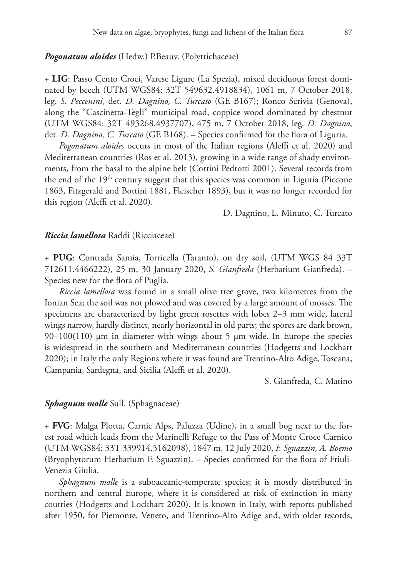# *Pogonatum aloides* (Hedw.) P.Beauv. (Polytrichaceae)

+ **LIG**: Passo Cento Croci, Varese Ligure (La Spezia), mixed deciduous forest dominated by beech (UTM WGS84: 32T 549632.4918834), 1061 m, 7 October 2018, leg. *S. Peccenini*, det. *D. Dagnino, C. Turcato* (GE B167); Ronco Scrivia (Genova), along the "Cascinetta-Tegli" municipal road, coppice wood dominated by chestnut (UTM WGS84: 32T 493268.4937707), 475 m, 7 October 2018, leg. *D. Dagnino*, det. *D. Dagnino, C. Turcato* (GE B168). – Species confirmed for the flora of Liguria.

*Pogonatum aloides* occurs in most of the Italian regions (Aleffi et al. 2020) and Mediterranean countries (Ros et al. 2013), growing in a wide range of shady environments, from the basal to the alpine belt (Cortini Pedrotti 2001). Several records from the end of the 19<sup>th</sup> century suggest that this species was common in Liguria (Piccone 1863, Fitzgerald and Bottini 1881, Fleischer 1893), but it was no longer recorded for this region (Aleffi et al. 2020).

D. Dagnino, L. Minuto, C. Turcato

# *Riccia lamellosa* Raddi (Ricciaceae)

+ **PUG**: Contrada Samia, Torricella (Taranto), on dry soil, (UTM WGS 84 33T 712611.4466222), 25 m, 30 January 2020, *S. Gianfreda* (Herbarium Gianfreda). – Species new for the flora of Puglia.

*Riccia lamellosa* was found in a small olive tree grove, two kilometres from the Ionian Sea; the soil was not plowed and was covered by a large amount of mosses. The specimens are characterized by light green rosettes with lobes 2–3 mm wide, lateral wings narrow, hardly distinct, nearly horizontal in old parts; the spores are dark brown,  $90-100(110)$  µm in diameter with wings about 5 µm wide. In Europe the species is widespread in the southern and Mediterranean countries (Hodgetts and Lockhart 2020); in Italy the only Regions where it was found are Trentino-Alto Adige, Toscana, Campania, Sardegna, and Sicilia (Aleffi et al. 2020).

S. Gianfreda, C. Matino

#### *Sphagnum molle* Sull. (Sphagnaceae)

+ **FVG**: Malga Plotta, Carnic Alps, Paluzza (Udine), in a small bog next to the forest road which leads from the Marinelli Refuge to the Pass of Monte Croce Carnico (UTM WGS84: 33T 339914.5162098), 1847 m, 12 July 2020, *F. Sguazzin, A. Boemo* (Bryophytorum Herbarium F. Sguazzin). – Species confirmed for the flora of Friuli-Venezia Giulia.

*Sphagnum molle* is a suboaceanic-temperate species; it is mostly distributed in northern and central Europe, where it is considered at risk of extinction in many coutries (Hodgetts and Lockhart 2020). It is known in Italy, with reports published after 1950, for Piemonte, Veneto, and Trentino-Alto Adige and, with older records,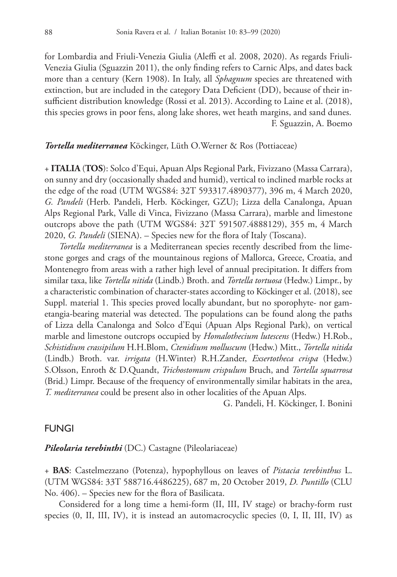for Lombardia and Friuli-Venezia Giulia (Aleffi et al. 2008, 2020). As regards Friuli-Venezia Giulia (Sguazzin 2011), the only finding refers to Carnic Alps, and dates back more than a century (Kern 1908). In Italy, all *Sphagnum* species are threatened with extinction, but are included in the category Data Deficient (DD), because of their insufficient distribution knowledge (Rossi et al. 2013). According to Laine et al. (2018), this species grows in poor fens, along lake shores, wet heath margins, and sand dunes. F. Sguazzin, A. Boemo

## *Tortella mediterranea* Köckinger, Lüth O.Werner & Ros (Pottiaceae)

+ **ITALIA** (**TOS**): Solco d'Equi, Apuan Alps Regional Park, Fivizzano (Massa Carrara), on sunny and dry (occasionally shaded and humid), vertical to inclined marble rocks at the edge of the road (UTM WGS84: 32T 593317.4890377), 396 m, 4 March 2020, *G. Pandeli* (Herb. Pandeli, Herb. Köckinger, GZU); Lizza della Canalonga, Apuan Alps Regional Park, Valle di Vinca, Fivizzano (Massa Carrara), marble and limestone outcrops above the path (UTM WGS84: 32T 591507.4888129), 355 m, 4 March 2020, *G. Pandeli* (SIENA). – Species new for the flora of Italy (Toscana).

*Tortella mediterranea* is a Mediterranean species recently described from the limestone gorges and crags of the mountainous regions of Mallorca, Greece, Croatia, and Montenegro from areas with a rather high level of annual precipitation. It differs from similar taxa, like *Tortella nitida* (Lindb.) Broth. and *Tortella tortuosa* (Hedw.) Limpr., by a characteristic combination of character-states according to Köckinger et al. (2018), see Suppl. material 1. This species proved locally abundant, but no sporophyte- nor gametangia-bearing material was detected. The populations can be found along the paths of Lizza della Canalonga and Solco d'Equi (Apuan Alps Regional Park), on vertical marble and limestone outcrops occupied by *Homalothecium lutescens* (Hedw.) H.Rob., *Schistidium crassipilum* H.H.Blom, *Ctenidium molluscum* (Hedw.) Mitt., *Tortella nitida* (Lindb.) Broth. var. *irrigata* (H.Winter) R.H.Zander, *Exsertotheca crispa* (Hedw.) S.Olsson, Enroth & D.Quandt, *Trichostomum crispulum* Bruch, and *Tortella squarrosa*  (Brid.) Limpr. Because of the frequency of environmentally similar habitats in the area, *T. mediterranea* could be present also in other localities of the Apuan Alps.

G. Pandeli, H. Köckinger, I. Bonini

# FUNGI

*Pileolaria terebinthi* (DC.) Castagne (Pileolariaceae)

+ **BAS**: Castelmezzano (Potenza), hypophyllous on leaves of *Pistacia terebinthus* L. (UTM WGS84: 33T 588716.4486225), 687 m, 20 October 2019, *D. Puntillo* (CLU No. 406). – Species new for the flora of Basilicata.

Considered for a long time a hemi-form (II, III, IV stage) or brachy-form rust species (0, II, III, IV), it is instead an automacrocyclic species (0, I, II, III, IV) as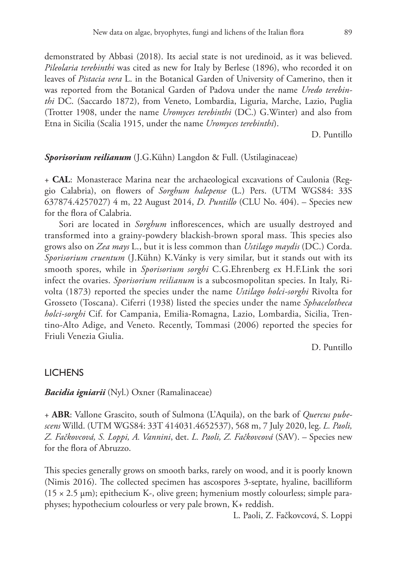demonstrated by Abbasi (2018). Its aecial state is not uredinoid, as it was believed. *Pileolaria terebinthi* was cited as new for Italy by Berlese (1896), who recorded it on leaves of *Pistacia vera* L. in the Botanical Garden of University of Camerino, then it was reported from the Botanical Garden of Padova under the name *Uredo terebinthi* DC. (Saccardo 1872), from Veneto, Lombardia, Liguria, Marche, Lazio, Puglia (Trotter 1908, under the name *Uromyces terebinthi* (DC.) G.Winter) and also from Etna in Sicilia (Scalia 1915, under the name *Uromyces terebinthi*).

D. Puntillo

# *Sporisorium reilianum* (J.G.Kühn) Langdon & Full. (Ustilaginaceae)

+ **CAL**: Monasterace Marina near the archaeological excavations of Caulonia (Reggio Calabria), on flowers of *Sorghum halepense* (L.) Pers. (UTM WGS84: 33S 637874.4257027) 4 m, 22 August 2014, *D. Puntillo* (CLU No. 404). – Species new for the flora of Calabria.

Sori are located in *Sorghum* inflorescences, which are usually destroyed and transformed into a grainy-powdery blackish-brown sporal mass. This species also grows also on *Zea mays* L., but it is less common than *Ustilago maydis* (DC.) Corda. *Sporisorium cruentum* (J.Kühn) K.Vánky is very similar, but it stands out with its smooth spores, while in *Sporisorium sorghi* C.G.Ehrenberg ex H.F.Link the sori infect the ovaries. *Sporisorium reilianum* is a subcosmopolitan species. In Italy, Rivolta (1873) reported the species under the name *Ustilago holci-sorghi* Rivolta for Grosseto (Toscana). Ciferri (1938) listed the species under the name *Sphacelotheca holci-sorghi* Cif. for Campania, Emilia-Romagna, Lazio, Lombardia, Sicilia, Trentino-Alto Adige, and Veneto. Recently, Tommasi (2006) reported the species for Friuli Venezia Giulia.

D. Puntillo

# **LICHENS**

*Bacidia igniarii* (Nyl.) Oxner (Ramalinaceae)

+ **ABR**: Vallone Grascito, south of Sulmona (L'Aquila), on the bark of *Quercus pubescens* Willd. (UTM WGS84: 33T 414031.4652537), 568 m, 7 July 2020, leg. *L. Paoli, Z. Fačkovcová, S. Loppi, A. Vannini*, det. *L. Paoli, Z. Fačkovcová* (SAV). – Species new for the flora of Abruzzo.

This species generally grows on smooth barks, rarely on wood, and it is poorly known (Nimis 2016). The collected specimen has ascospores 3-septate, hyaline, bacilliform  $(15 \times 2.5 \mu m)$ ; epithecium K-, olive green; hymenium mostly colourless; simple paraphyses; hypothecium colourless or very pale brown, K+ reddish.

L. Paoli, Z. Fačkovcová, S. Loppi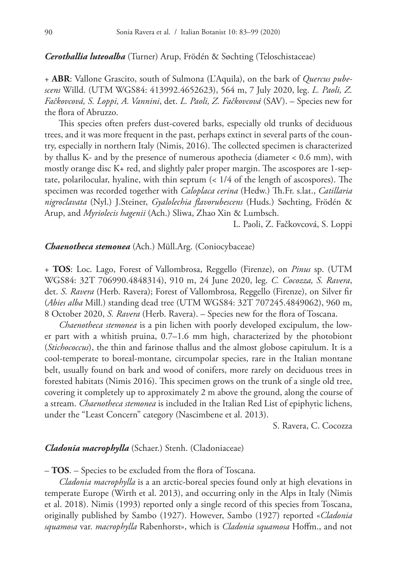*Cerothallia luteoalba* (Turner) Arup, Frödén & Søchting (Teloschistaceae)

+ **ABR**: Vallone Grascito, south of Sulmona (L'Aquila), on the bark of *Quercus pubescens* Willd. (UTM WGS84: 413992.4652623), 564 m, 7 July 2020, leg. *L. Paoli, Z. Fačkovcová, S. Loppi, A. Vannini*, det. *L. Paoli, Z. Fačkovcová* (SAV). – Species new for the flora of Abruzzo.

This species often prefers dust-covered barks, especially old trunks of deciduous trees, and it was more frequent in the past, perhaps extinct in several parts of the country, especially in northern Italy (Nimis, 2016). The collected specimen is characterized by thallus K- and by the presence of numerous apothecia (diameter < 0.6 mm), with mostly orange disc K+ red, and slightly paler proper margin. The ascospores are 1-septate, polarilocular, hyaline, with thin septum (< 1/4 of the length of ascospores). The specimen was recorded together with *Caloplaca cerina* (Hedw.) Th.Fr. s.lat., *Catillaria nigroclavata* (Nyl.) J.Steiner, *Gyalolechia flavorubescens* (Huds.) Søchting, Frödén & Arup, and *Myriolecis hagenii* (Ach.) Sliwa, Zhao Xin & Lumbsch.

L. Paoli, Z. Fačkovcová, S. Loppi

## *Chaenotheca stemonea* (Ach.) Müll.Arg. (Coniocybaceae)

+ **TOS**: Loc. Lago, Forest of Vallombrosa, Reggello (Firenze), on *Pinus* sp. (UTM WGS84: 32T 706990.4848314), 910 m, 24 June 2020, leg. *C. Cocozza, S. Ravera*, det. *S. Ravera* (Herb. Ravera); Forest of Vallombrosa, Reggello (Firenze), on Silver fir (*Abies alba* Mill.) standing dead tree (UTM WGS84: 32T 707245.4849062), 960 m, 8 October 2020, *S. Ravera* (Herb. Ravera). – Species new for the flora of Toscana.

*Chaenotheca stemonea* is a pin lichen with poorly developed excipulum, the lower part with a whitish pruina, 0.7–1.6 mm high, characterized by the photobiont (*Stichococcus*), the thin and farinose thallus and the almost globose capitulum. It is a cool-temperate to boreal-montane, circumpolar species, rare in the Italian montane belt, usually found on bark and wood of conifers, more rarely on deciduous trees in forested habitats (Nimis 2016). This specimen grows on the trunk of a single old tree, covering it completely up to approximately 2 m above the ground, along the course of a stream. *Chaenotheca stemonea* is included in the Italian Red List of epiphytic lichens, under the "Least Concern" category (Nascimbene et al. 2013).

S. Ravera, C. Cocozza

## *Cladonia macrophylla* (Schaer.) Stenh. (Cladoniaceae)

– **TOS**. – Species to be excluded from the flora of Toscana.

*Cladonia macrophylla* is a an arctic-boreal species found only at high elevations in temperate Europe (Wirth et al. 2013), and occurring only in the Alps in Italy (Nimis et al. 2018). Nimis (1993) reported only a single record of this species from Toscana, originally published by Sambo (1927). However, Sambo (1927) reported «*Cladonia squamosa* var. *macrophylla* Rabenhorst», which is *Cladonia squamosa* Hoffm., and not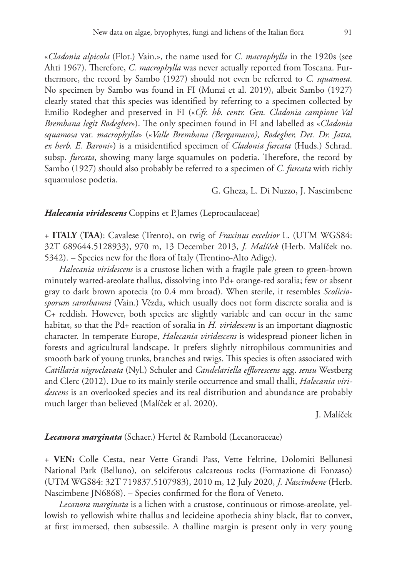«*Cladonia alpicola* (Flot.) Vain.», the name used for *C. macrophylla* in the 1920s (see Ahti 1967). Therefore, *C. macrophylla* was never actually reported from Toscana. Furthermore, the record by Sambo (1927) should not even be referred to *C. squamosa*. No specimen by Sambo was found in FI (Munzi et al. 2019), albeit Sambo (1927) clearly stated that this species was identified by referring to a specimen collected by Emilio Rodegher and preserved in FI («*Cfr. hb. centr. Gen. Cladonia campione Val Brembana legit Rodegher*»). The only specimen found in FI and labelled as «*Cladonia squamosa* var. *macrophylla*» («*Valle Brembana (Bergamasco), Rodegher, Det. Dr. Jatta, ex herb. E. Baroni*») is a misidentified specimen of *Cladonia furcata* (Huds.) Schrad. subsp. *furcata*, showing many large squamules on podetia. Therefore, the record by Sambo (1927) should also probably be referred to a specimen of *C. furcata* with richly squamulose podetia.

# G. Gheza, L. Di Nuzzo, J. Nascimbene

## *Halecania viridescens* Coppins et P.James (Leprocaulaceae)

+ **ITALY** (**TAA**): Cavalese (Trento), on twig of *Fraxinus excelsior* L. (UTM WGS84: 32T 689644.5128933), 970 m, 13 December 2013, *J. Malíček* (Herb. Malíček no. 5342). – Species new for the flora of Italy (Trentino-Alto Adige).

*Halecania viridescens* is a crustose lichen with a fragile pale green to green-brown minutely warted-areolate thallus, dissolving into Pd+ orange-red soralia; few or absent gray to dark brown apotecia (to 0.4 mm broad). When sterile, it resembles *Scoliciosporum sarothamni* (Vain.) Vězda, which usually does not form discrete soralia and is C+ reddish. However, both species are slightly variable and can occur in the same habitat, so that the Pd+ reaction of soralia in *H. viridescens* is an important diagnostic character. In temperate Europe, *Halecania viridescens* is widespread pioneer lichen in forests and agricultural landscape. It prefers slightly nitrophilous communities and smooth bark of young trunks, branches and twigs. This species is often associated with *Catillaria nigroclavata* (Nyl.) Schuler and *Candelariella efflorescens* agg. *sensu* Westberg and Clerc (2012). Due to its mainly sterile occurrence and small thalli, *Halecania viridescens* is an overlooked species and its real distribution and abundance are probably much larger than believed (Malíček et al. 2020).

J. Malíček

#### *Lecanora marginata* (Schaer.) Hertel & Rambold (Lecanoraceae)

+ **VEN:** Colle Cesta, near Vette Grandi Pass, Vette Feltrine, Dolomiti Bellunesi National Park (Belluno), on selciferous calcareous rocks (Formazione di Fonzaso) (UTM WGS84: 32T 719837.5107983), 2010 m, 12 July 2020, *J. Nascimbene* (Herb. Nascimbene JN6868). – Species confirmed for the flora of Veneto.

*Lecanora marginata* is a lichen with a crustose, continuous or rimose-areolate, yellowish to yellowish white thallus and lecideine apothecia shiny black, flat to convex, at first immersed, then subsessile. A thalline margin is present only in very young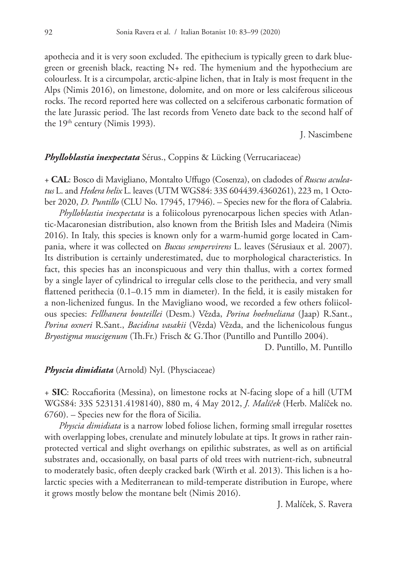apothecia and it is very soon excluded. The epithecium is typically green to dark bluegreen or greenish black, reacting N+ red. The hymenium and the hypothecium are colourless. It is a circumpolar, arctic-alpine lichen, that in Italy is most frequent in the Alps (Nimis 2016), on limestone, dolomite, and on more or less calciferous siliceous rocks. The record reported here was collected on a selciferous carbonatic formation of the late Jurassic period. The last records from Veneto date back to the second half of the 19<sup>th</sup> century (Nimis 1993).

J. Nascimbene

# *Phylloblastia inexpectata* Sérus., Coppins & Lücking (Verrucariaceae)

+ **CAL**: Bosco di Mavigliano, Montalto Uffugo (Cosenza), on cladodes of *Ruscus aculeatus* L. and *Hedera helix* L. leaves (UTM WGS84: 33S 604439.4360261), 223 m, 1 October 2020, *D. Puntillo* (CLU No. 17945, 17946). – Species new for the flora of Calabria.

*Phylloblastia inexpectata* is a foliicolous pyrenocarpous lichen species with Atlantic-Macaronesian distribution, also known from the British Isles and Madeira (Nimis 2016). In Italy, this species is known only for a warm-humid gorge located in Campania, where it was collected on *Buxus sempervirens* L. leaves (Sérusiaux et al. 2007). Its distribution is certainly underestimated, due to morphological characteristics. In fact, this species has an inconspicuous and very thin thallus, with a cortex formed by a single layer of cylindrical to irregular cells close to the perithecia, and very small flattened perithecia (0.1–0.15 mm in diameter). In the field, it is easily mistaken for a non-lichenized fungus. In the Mavigliano wood, we recorded a few others foliicolous species: *Fellhanera bouteillei* (Desm.) Vězda, *Porina hoehneliana* (Jaap) R.Sant., *Porina oxneri* R.Sant., *Bacidina vasakii* (Vězda) Vězda, and the lichenicolous fungus *Bryostigma muscigenum* (Th.Fr.) Frisch & G.Thor (Puntillo and Puntillo 2004).

D. Puntillo, M. Puntillo

## *Physcia dimidiata* (Arnold) Nyl. (Physciaceae)

+ **SIC**: Roccafiorita (Messina), on limestone rocks at N-facing slope of a hill (UTM WGS84: 33S 523131.4198140), 880 m, 4 May 2012, *J. Malíček* (Herb. Malíček no. 6760). – Species new for the flora of Sicilia.

*Physcia dimidiata* is a narrow lobed foliose lichen, forming small irregular rosettes with overlapping lobes, crenulate and minutely lobulate at tips. It grows in rather rainprotected vertical and slight overhangs on epilithic substrates, as well as on artificial substrates and, occasionally, on basal parts of old trees with nutrient-rich, subneutral to moderately basic, often deeply cracked bark (Wirth et al. 2013). This lichen is a holarctic species with a Mediterranean to mild-temperate distribution in Europe, where it grows mostly below the montane belt (Nimis 2016).

J. Malíček, S. Ravera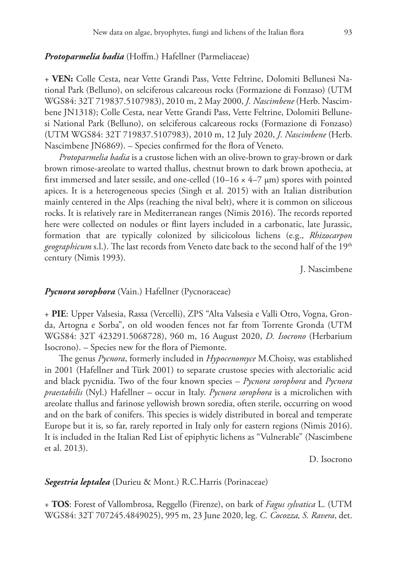## *Protoparmelia badia* (Hoffm.) Hafellner (Parmeliaceae)

+ **VEN:** Colle Cesta, near Vette Grandi Pass, Vette Feltrine, Dolomiti Bellunesi National Park (Belluno), on selciferous calcareous rocks (Formazione di Fonzaso) (UTM WGS84: 32T 719837.5107983), 2010 m, 2 May 2000, *J. Nascimbene* (Herb. Nascimbene JN1318); Colle Cesta, near Vette Grandi Pass, Vette Feltrine, Dolomiti Bellunesi National Park (Belluno), on selciferous calcareous rocks (Formazione di Fonzaso) (UTM WGS84: 32T 719837.5107983), 2010 m, 12 July 2020, *J. Nascimbene* (Herb. Nascimbene JN6869). – Species confirmed for the flora of Veneto.

*Protoparmelia badia* is a crustose lichen with an olive-brown to gray-brown or dark brown rimose-areolate to warted thallus, chestnut brown to dark brown apothecia, at first immersed and later sessile, and one-celled  $(10-16 \times 4-7 \mu m)$  spores with pointed apices. It is a heterogeneous species (Singh et al. 2015) with an Italian distribution mainly centered in the Alps (reaching the nival belt), where it is common on siliceous rocks. It is relatively rare in Mediterranean ranges (Nimis 2016). The records reported here were collected on nodules or flint layers included in a carbonatic, late Jurassic, formation that are typically colonized by silicicolous lichens (e.g., *Rhizocarpon*  geographicum s.l.). The last records from Veneto date back to the second half of the 19<sup>th</sup> century (Nimis 1993).

J. Nascimbene

# *Pycnora sorophora* (Vain.) Hafellner (Pycnoraceae)

+ **PIE**: Upper Valsesia, Rassa (Vercelli), ZPS "Alta Valsesia e Valli Otro, Vogna, Gronda, Artogna e Sorba", on old wooden fences not far from Torrente Gronda (UTM WGS84: 32T 423291.5068728), 960 m, 16 August 2020, *D. Isocrono* (Herbarium Isocrono). – Species new for the flora of Piemonte.

The genus *Pycnora*, formerly included in *Hypocenomyce* M.Choisy, was established in 2001 (Hafellner and Türk 2001) to separate crustose species with alectorialic acid and black pycnidia. Two of the four known species – *Pycnora sorophora* and *Pycnora praestabilis* (Nyl.) Hafellner – occur in Italy. *Pycnora sorophora* is a microlichen with areolate thallus and farinose yellowish brown soredia, often sterile, occurring on wood and on the bark of conifers. This species is widely distributed in boreal and temperate Europe but it is, so far, rarely reported in Italy only for eastern regions (Nimis 2016). It is included in the Italian Red List of epiphytic lichens as "Vulnerable" (Nascimbene et al. 2013).

D. Isocrono

## *Segestria leptalea* (Durieu & Mont.) R.C.Harris (Porinaceae)

+ **TOS**: Forest of Vallombrosa, Reggello (Firenze), on bark of *Fagus sylvatica* L. (UTM WGS84: 32T 707245.4849025), 995 m, 23 June 2020, leg. *C. Cocozza, S. Ravera*, det.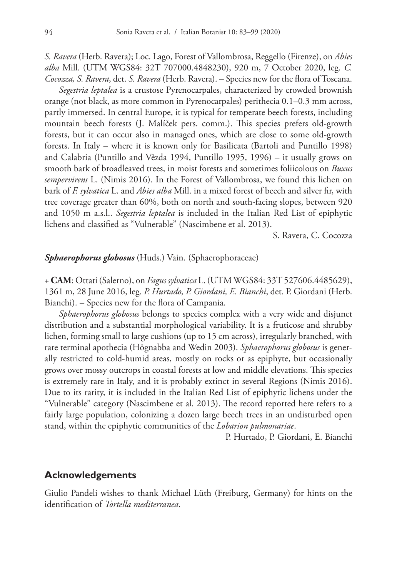*S. Ravera* (Herb. Ravera); Loc. Lago, Forest of Vallombrosa, Reggello (Firenze), on *Abies alba* Mill. (UTM WGS84: 32T 707000.4848230), 920 m, 7 October 2020, leg. *C. Cocozza, S. Ravera*, det. *S. Ravera* (Herb. Ravera). – Species new for the flora of Toscana.

*Segestria leptalea* is a crustose Pyrenocarpales, characterized by crowded brownish orange (not black, as more common in Pyrenocarpales) perithecia 0.1–0.3 mm across, partly immersed. In central Europe, it is typical for temperate beech forests, including mountain beech forests (J. Malíček pers. comm.). This species prefers old-growth forests, but it can occur also in managed ones, which are close to some old-growth forests. In Italy – where it is known only for Basilicata (Bartoli and Puntillo 1998) and Calabria (Puntillo and Vězda 1994, Puntillo 1995, 1996) – it usually grows on smooth bark of broadleaved trees, in moist forests and sometimes foliicolous on *Buxus sempervirens* L. (Nimis 2016). In the Forest of Vallombrosa, we found this lichen on bark of *F. sylvatica* L. and *Abies alba* Mill. in a mixed forest of beech and silver fir, with tree coverage greater than 60%, both on north and south-facing slopes, between 920 and 1050 m a.s.l.. *Segestria leptalea* is included in the Italian Red List of epiphytic lichens and classified as "Vulnerable" (Nascimbene et al. 2013).

S. Ravera, C. Cocozza

#### *Sphaerophorus globosus* (Huds.) Vain. (Sphaerophoraceae)

+ **CAM**: Ottati (Salerno), on *Fagus sylvatica* L. (UTM WGS84: 33T 527606.4485629), 1361 m, 28 June 2016, leg. *P. Hurtado, P. Giordani, E. Bianchi*, det. P. Giordani (Herb. Bianchi). – Species new for the flora of Campania.

*Sphaerophorus globosus* belongs to species complex with a very wide and disjunct distribution and a substantial morphological variability. It is a fruticose and shrubby lichen, forming small to large cushions (up to 15 cm across), irregularly branched, with rare terminal apothecia (Högnabba and Wedin 2003). *Sphaerophorus globosus* is generally restricted to cold-humid areas, mostly on rocks or as epiphyte, but occasionally grows over mossy outcrops in coastal forests at low and middle elevations. This species is extremely rare in Italy, and it is probably extinct in several Regions (Nimis 2016). Due to its rarity, it is included in the Italian Red List of epiphytic lichens under the "Vulnerable" category (Nascimbene et al. 2013). The record reported here refers to a fairly large population, colonizing a dozen large beech trees in an undisturbed open stand, within the epiphytic communities of the *Lobarion pulmonariae*.

P. Hurtado, P. Giordani, E. Bianchi

# **Acknowledgements**

Giulio Pandeli wishes to thank Michael Lüth (Freiburg, Germany) for hints on the identification of *Tortella mediterranea*.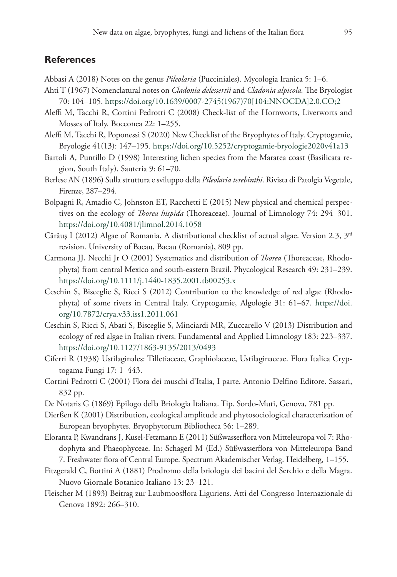# **References**

- Abbasi A (2018) Notes on the genus *Pileolaria* (Pucciniales). Mycologia Iranica 5: 1–6.
- Ahti T (1967) Nomenclatural notes on *Cladonia delessertii* and *Cladonia alpicola.* The Bryologist 70: 104–105. [https://doi.org/10.1639/0007-2745\(1967\)70\[104:NNOCDA\]2.0.CO;2](https://doi.org/10.1639/0007-2745(1967)70%5B104:NNOCDA%5D2.0.CO;2)
- Aleffi M, Tacchi R, Cortini Pedrotti C (2008) Check-list of the Hornworts, Liverworts and Mosses of Italy. Bocconea 22: 1–255.
- Aleffi M, Tacchi R, Poponessi S (2020) New Checklist of the Bryophytes of Italy. Cryptogamie, Bryologie 41(13): 147–195.<https://doi.org/10.5252/cryptogamie-bryologie2020v41a13>
- Bartoli A, Puntillo D (1998) Interesting lichen species from the Maratea coast (Basilicata region, South Italy). Sauteria 9: 61–70.
- Berlese AN (1896) Sulla struttura e sviluppo della *Pileolaria terebinthi*. Rivista di Patolgia Vegetale, Firenze, 287–294.
- Bolpagni R, Amadio C, Johnston ET, Racchetti E (2015) New physical and chemical perspectives on the ecology of *Thorea hispida* (Thoreaceae). Journal of Limnology 74: 294–301. <https://doi.org/10.4081/jlimnol.2014.1058>
- Cărăuș I (2012) Algae of Romania. A distributional checklist of actual algae. Version 2.3,  $3^{rd}$ revision. University of Bacau, Bacau (Romania), 809 pp.
- Carmona JJ, Necchi Jr O (2001) Systematics and distribution of *Thorea* (Thoreaceae, Rhodophyta) from central Mexico and south-eastern Brazil. Phycological Research 49: 231–239. <https://doi.org/10.1111/j.1440-1835.2001.tb00253.x>
- Ceschin S, Bisceglie S, Ricci S (2012) Contribution to the knowledge of red algae (Rhodophyta) of some rivers in Central Italy. Cryptogamie, Algologie 31: 61–67. [https://doi.](https://doi.org/10.7872/crya.v33.iss1.2011.061) [org/10.7872/crya.v33.iss1.2011.061](https://doi.org/10.7872/crya.v33.iss1.2011.061)
- Ceschin S, Ricci S, Abati S, Bisceglie S, Minciardi MR, Zuccarello V (2013) Distribution and ecology of red algae in Italian rivers. Fundamental and Applied Limnology 183: 223–337. <https://doi.org/10.1127/1863-9135/2013/0493>
- Ciferri R (1938) Ustilaginales: Tilletiaceae, Graphiolaceae, Ustilaginaceae. Flora Italica Cryptogama Fungi 17: 1–443.
- Cortini Pedrotti C (2001) Flora dei muschi d'Italia, I parte. Antonio Delfino Editore. Sassari, 832 pp.
- De Notaris G (1869) Epilogo della Briologia Italiana. Tip. Sordo-Muti, Genova, 781 pp.
- Dierßen K (2001) Distribution, ecological amplitude and phytosociological characterization of European bryophytes. Bryophytorum Bibliotheca 56: 1–289.
- Eloranta P, Kwandrans J, Kusel-Fetzmann E (2011) Süßwasserflora von Mitteleuropa vol 7: Rhodophyta and Phaeophyceae. In: Schagerl M (Ed.) Süßwasserflora von Mitteleuropa Band 7. Freshwater flora of Central Europe. Spectrum Akademischer Verlag. Heidelberg, 1–155.
- Fitzgerald C, Bottini A (1881) Prodromo della briologia dei bacini del Serchio e della Magra. Nuovo Giornale Botanico Italiano 13: 23–121.
- Fleischer M (1893) Beitrag zur Laubmoosflora Liguriens. Atti del Congresso Internazionale di Genova 1892: 266–310.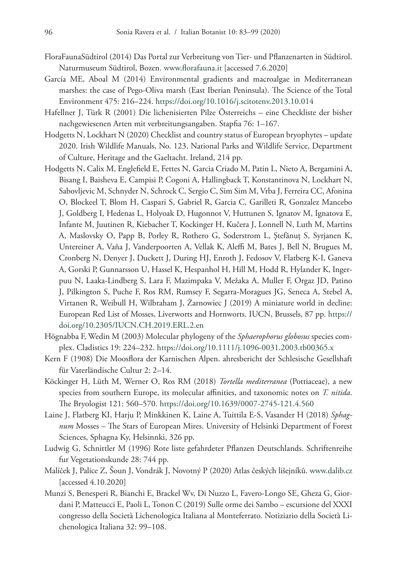- FloraFaunaSüdtirol (2014) Das Portal zur Verbreitung von Tier- und Pflanzenarten in Südtirol. Naturmuseum Südtirol, Bozen. www.florafauna.it [accessed 7.6.2020]
- García ME, Aboal M (2014) Environmental gradients and macroalgae in Mediterranean marshes: the case of Pego-Oliva marsh (East Iberian Peninsula). The Science of the Total Environment 475: 216–224.<https://doi.org/10.1016/j.scitotenv.2013.10.014>
- Hafellner J, Türk R (2001) Die lichenisierten Pilze Österreichs eine Checkliste der bisher nachgewiesenen Arten mit verbreitungsangaben. Stapfia 76: 1–167.
- Hodgetts N, Lockhart N (2020) Checklist and country status of European bryophytes update 2020. Irish Wildlife Manuals, No. 123. National Parks and Wildlife Service, Department of Culture, Heritage and the Gaeltacht. Ireland, 214 pp.
- Hodgetts N, Calix M, Englefield E, Fettes N, Garcia Criado M, Patin L, Nieto A, Bergamini A, Bisang I, Baisheva E, Campisi P, Cogoni A, Hallingback T, Konstantinova N, Lockhart N, Sabovljevic M, Schnyder N, Schrock C, Sergio C, Sim Sim M, Vrba J, Ferreira CC, Afonina O, Blockeel T, Blom H, Caspari S, Gabriel R, Garcia C, Garilleti R, Gonzalez Mancebo J, Goldberg I, Hedenas L, Holyoak D, Hugonnot V, Huttunen S, Ignatov M, Ignatova E, Infante M, Juutinen R, Kiebacher T, Kockinger H, Kučera J, Lonnell N, Luth M, Martins A, Maslovsky O, Papp B, Porley R, Rothero G, Soderstrom L, Ştefănuţ S, Syrjanen K, Untereiner A, Vaňa J, Vanderpoorten A, Vellak K, Aleffi M, Bates J, Bell N, Brugues M, Cronberg N, Denyer J, Duckett J, During HJ, Enroth J, Fedosov V, Flatberg K-I, Ganeva A, Gorski P, Gunnarsson U, Hassel K, Hespanhol H, Hill M, Hodd R, Hylander K, Ingerpuu N, Laaka-Lindberg S, Lara F, Mazimpaka V, Mežaka A, Muller F, Orgaz JD, Patino J, Pilkington S, Puche F, Ros RM, Rumsey F, Segarra-Moragues JG, Seneca A, Stebel A, Virtanen R, Weibull H, Wilbraham J, Żarnowiec J (2019) A miniature world in decline: European Red List of Mosses, Liverworts and Hornworts. IUCN, Brussels, 87 pp. [https://](https://doi.org/10.2305/IUCN.CH.2019.ERL.2.en) [doi.org/10.2305/IUCN.CH.2019.ERL.2.en](https://doi.org/10.2305/IUCN.CH.2019.ERL.2.en)
- Högnabba F, Wedin M (2003) Molecular phylogeny of the *Sphaerophorus globosus* species complex. Cladistics 19: 224–232.<https://doi.org/10.1111/j.1096-0031.2003.tb00365.x>
- Kern F (1908) Die Moosflora der Karnischen Alpen. ahresbericht der Schlesische Gesellshaft für Vaterländische Cultur 2: 2–14.
- Köckinger H, Lüth M, Werner O, Ros RM (2018) *Tortella mediterranea* (Pottiaceae), a new species from southern Europe, its molecular affinities, and taxonomic notes on *T. nitida*. The Bryologist 121: 560–570.<https://doi.org/10.1639/0007-2745-121.4.560>
- Laine J, Flatberg KI, Harju P, Minkkinen K, Laine A, Tuittila E-S, Vasander H (2018) *Sphagnum* Mosses – The Stars of European Mires. University of Helsinki Department of Forest Sciences, Sphagna Ky, Helsinnki, 326 pp.
- Ludwig G, Schnittler M (1996) Rote liste gefahrdeter Pflanzen Deutschlands. Schriftenreihe fur Vegetationskunde 28: 744 pp.
- Malíček J, Palice Z, Šoun J, Vondrák J, Novotný P (2020) Atlas českých lišejníků. www.dalib.cz [accessed 4.10.2020]
- Munzi S, Benesperi R, Bianchi E, Brackel Wv, Di Nuzzo L, Favero-Longo SE, Gheza G, Giordani P, Matteucci E, Paoli L, Tonon C (2019) Sulle orme dei Sambo – escursione del XXXI congresso della Società Lichenologica Italiana al Monteferrato. Notiziario della Società Lichenologica Italiana 32: 99–108.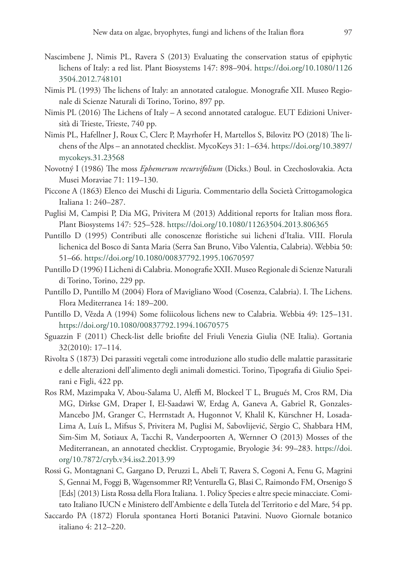- Nascimbene J, Nimis PL, Ravera S (2013) Evaluating the conservation status of epiphytic lichens of Italy: a red list. Plant Biosystems 147: 898–904. [https://doi.org/10.1080/1126](https://doi.org/10.1080/11263504.2012.748101) [3504.2012.748101](https://doi.org/10.1080/11263504.2012.748101)
- Nimis PL (1993) The lichens of Italy: an annotated catalogue. Monografie XII. Museo Regionale di Scienze Naturali di Torino, Torino, 897 pp.
- Nimis PL (2016) The Lichens of Italy A second annotated catalogue. EUT Edizioni Università di Trieste, Trieste, 740 pp.
- Nimis PL, Hafellner J, Roux C, Clerc P, Mayrhofer H, Martellos S, Bilovitz PO (2018) The lichens of the Alps – an annotated checklist. MycoKeys 31: 1–634. [https://doi.org/10.3897/](https://doi.org/10.3897/mycokeys.31.23568) [mycokeys.31.23568](https://doi.org/10.3897/mycokeys.31.23568)
- Novotný I (1986) The moss *Ephemerum recurvifolium* (Dicks.) Boul. in Czechoslovakia. Acta Musei Moraviae 71: 119–130.
- Piccone A (1863) Elenco dei Muschi di Liguria. Commentario della Società Crittogamologica Italiana 1: 240–287.
- Puglisi M, Campisi P, Dia MG, Privitera M (2013) Additional reports for Italian moss flora. Plant Biosystems 147: 525–528.<https://doi.org/10.1080/11263504.2013.806365>
- Puntillo D (1995) Contributi alle conoscenze floristiche sui licheni d'Italia. VIII. Florula lichenica del Bosco di Santa Maria (Serra San Bruno, Vibo Valentia, Calabria). Webbia 50: 51–66.<https://doi.org/10.1080/00837792.1995.10670597>
- Puntillo D (1996) I Licheni di Calabria. Monografie XXII. Museo Regionale di Scienze Naturali di Torino, Torino, 229 pp.
- Puntillo D, Puntillo M (2004) Flora of Mavigliano Wood (Cosenza, Calabria). I. The Lichens. Flora Mediterranea 14: 189–200.
- Puntillo D, Vězda A (1994) Some foliicolous lichens new to Calabria. Webbia 49: 125–131. <https://doi.org/10.1080/00837792.1994.10670575>
- Sguazzin F (2011) Check-list delle briofite del Friuli Venezia Giulia (NE Italia). Gortania 32(2010): 17–114.
- Rivolta S (1873) Dei parassiti vegetali come introduzione allo studio delle malattie parassitarie e delle alterazioni dell'alimento degli animali domestici. Torino, Tipografia di Giulio Speirani e Figli, 422 pp.
- Ros RM, Mazimpaka V, Abou-Salama U, Aleffi M, Blockeel T L, Brugués M, Cros RM, Dia MG, Dirkse GM, Draper I, El-Saadawi W, Erdag A, Ganeva A, Gabriel R, Gonzales-Mancebo JM, Granger C, Herrnstadt A, Hugonnot V, Khalil K, Kürschner H, Losada-Lima A, Luís L, Mifsus S, Privitera M, Puglisi M, Sabovlijević, Sèrgio C, Shabbara HM, Sim-Sim M, Sotiaux A, Tacchi R, Vanderpoorten A, Wernner O (2013) Mosses of the Mediterranean, an annotated checklist. Cryptogamie, Bryologie 34: 99–283. [https://doi.](https://doi.org/10.7872/cryb.v34.iss2.2013.99) [org/10.7872/cryb.v34.iss2.2013.99](https://doi.org/10.7872/cryb.v34.iss2.2013.99)
- Rossi G, Montagnani C, Gargano D, Peruzzi L, Abeli T, Ravera S, Cogoni A, Fenu G, Magrini S, Gennai M, Foggi B, Wagensommer RP, Venturella G, Blasi C, Raimondo FM, Orsenigo S [Eds] (2013) Lista Rossa della Flora Italiana. 1. Policy Species e altre specie minacciate. Comitato Italiano IUCN e Ministero dell'Ambiente e della Tutela del Territorio e del Mare, 54 pp.
- Saccardo PA (1872) Florula spontanea Horti Botanici Patavini. Nuovo Giornale botanico italiano 4: 212–220.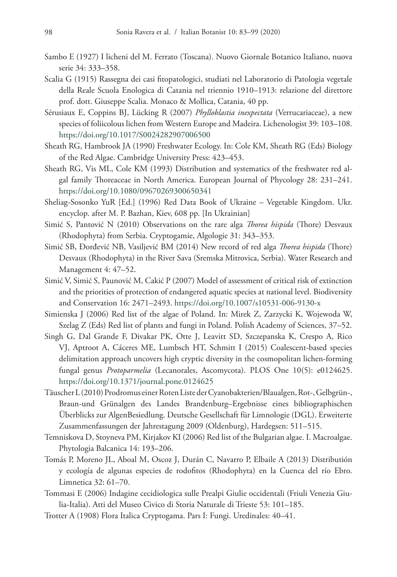- Sambo E (1927) I licheni del M. Ferrato (Toscana). Nuovo Giornale Botanico Italiano, nuova serie 34: 333–358.
- Scalia G (1915) Rassegna dei casi fitopatologici, studiati nel Laboratorio di Patologia vegetale della Reale Scuola Enologica di Catania nel triennio 1910–1913: relazione del direttore prof. dott. Giuseppe Scalia. Monaco & Mollica, Catania, 40 pp.
- Sérusiaux E, Coppins BJ, Lücking R (2007) *Phylloblastia inexpectata* (Verrucariaceae), a new species of foliicolous lichen from Western Europe and Madeira. Lichenologist 39: 103–108. <https://doi.org/10.1017/S0024282907006500>
- Sheath RG, Hambrook JA (1990) Freshwater Ecology. In: Cole KM, Sheath RG (Eds) Biology of the Red Algae. Cambridge University Press: 423–453.
- Sheath RG, Vis ML, Cole KM (1993) Distribution and systematics of the freshwater red algal family Thoreaceae in North America. European Journal of Phycology 28: 231–241. <https://doi.org/10.1080/09670269300650341>
- Sheliag-Sosonko YuR [Ed.] (1996) Red Data Book of Ukraine Vegetable Kingdom. Ukr. encyclop. after M. P. Bazhan, Kiev, 608 pp. [In Ukrainian]
- Simić S, Pantović N (2010) Observations on the rare alga *Thorea hispida* (Thore) Desvaux (Rhodophyta) from Serbia. Cryptogamie, Algologie 31: 343–353.
- Simić SB, Đorđević NB, Vasiljević BM (2014) New record of red alga *Thorea hispida* (Thore) Desvaux (Rhodophyta) in the River Sava (Sremska Mitrovica, Serbia). Water Research and Management 4: 47–52.
- Simić V, Simić S, Paunović M, Cakić P (2007) Model of assessment of critical risk of extinction and the priorities of protection of endangered aquatic species at national level. Biodiversity and Conservation 16: 2471–2493. <https://doi.org/10.1007/s10531-006-9130-x>
- Simienska J (2006) Red list of the algae of Poland. In: Mirek Z, Zarzycki K, Wojewoda W, Szelag Z (Eds) Red list of plants and fungi in Poland. Polish Academy of Sciences, 37–52.
- Singh G, Dal Grande F, Divakar PK, Otte J, Leavitt SD, Szczepanska K, Crespo A, Rico VJ, Aptroot A, Cáceres ME, Lumbsch HT, Schmitt I (2015) Coalescent-based species delimitation approach uncovers high cryptic diversity in the cosmopolitan lichen-forming fungal genus *Protoparmelia* (Lecanorales, Ascomycota). PLOS One 10(5): e0124625. <https://doi.org/10.1371/journal.pone.0124625>
- Täuscher L (2010) Prodromus einer Roten Liste der Cyanobakterien/Blaualgen, Rot-, Gelbgrün-, Braun-und Grünalgen des Landes Brandenburg–Ergebnisse eines bibliographischen Überblicks zur AlgenBesiedlung. Deutsche Gesellschaft für Limnologie (DGL). Erweiterte Zusammenfassungen der Jahrestagung 2009 (Oldenburg), Hardegsen: 511–515.
- Temniskova D, Stoyneva PM, Kirjakov KI (2006) Red list of the Bulgarian algae. I. Macroalgae. Phytologia Balcanica 14: 193–206.
- Tomás P, Moreno JL, Aboal M, Oscoz J, Durán C, Navarro P, Elbaile A (2013) Distributión y ecología de algunas especies de rodofitos (Rhodophyta) en la Cuenca del río Ebro. Limnetica 32: 61–70.
- Tommasi E (2006) Indagine cecidiologica sulle Prealpi Giulie occidentali (Friuli Venezia Giulia-Italia). Atti del Museo Civico di Storia Naturale di Trieste 53: 101–185.
- Trotter A (1908) Flora Italica Cryptogama. Pars I: Fungi. Uredinales: 40–41.